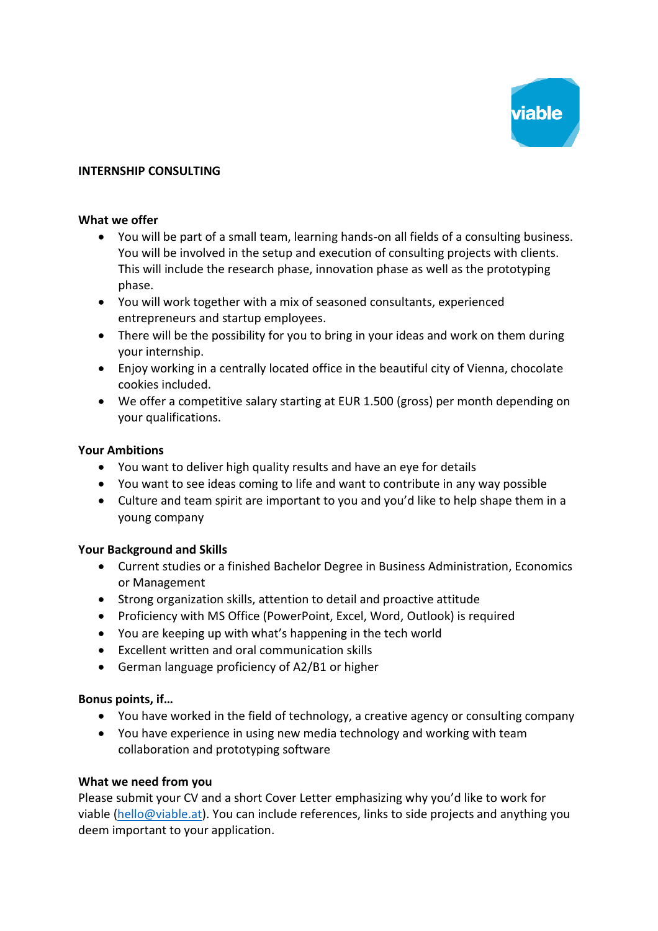

# **INTERNSHIP CONSULTING**

### **What we offer**

- You will be part of a small team, learning hands-on all fields of a consulting business. You will be involved in the setup and execution of consulting projects with clients. This will include the research phase, innovation phase as well as the prototyping phase.
- You will work together with a mix of seasoned consultants, experienced entrepreneurs and startup employees.
- There will be the possibility for you to bring in your ideas and work on them during your internship.
- Enjoy working in a centrally located office in the beautiful city of Vienna, chocolate cookies included.
- We offer a competitive salary starting at EUR 1.500 (gross) per month depending on your qualifications.

### **Your Ambitions**

- You want to deliver high quality results and have an eye for details
- You want to see ideas coming to life and want to contribute in any way possible
- Culture and team spirit are important to you and you'd like to help shape them in a young company

# **Your Background and Skills**

- Current studies or a finished Bachelor Degree in Business Administration, Economics or Management
- Strong organization skills, attention to detail and proactive attitude
- Proficiency with MS Office (PowerPoint, Excel, Word, Outlook) is required
- You are keeping up with what's happening in the tech world
- Excellent written and oral communication skills
- German language proficiency of A2/B1 or higher

# **Bonus points, if…**

- You have worked in the field of technology, a creative agency or consulting company
- You have experience in using new media technology and working with team collaboration and prototyping software

# **What we need from you**

Please submit your CV and a short Cover Letter emphasizing why you'd like to work for viable [\(hello@viable.at\)](mailto:hello@viable.at). You can include references, links to side projects and anything you deem important to your application.